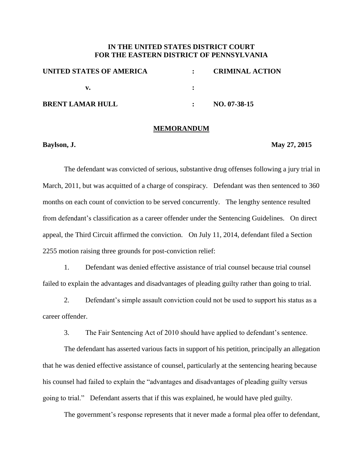## **IN THE UNITED STATES DISTRICT COURT FOR THE EASTERN DISTRICT OF PENNSYLVANIA**

| UNITED STATES OF AMERICA |  | <b>CRIMINAL ACTION</b> |
|--------------------------|--|------------------------|
|                          |  |                        |
| <b>BRENT LAMAR HULL</b>  |  | $NO. 07-38-15$         |

## **MEMORANDUM**

**Baylson, J.** May 27, 2015

The defendant was convicted of serious, substantive drug offenses following a jury trial in March, 2011, but was acquitted of a charge of conspiracy. Defendant was then sentenced to 360 months on each count of conviction to be served concurrently. The lengthy sentence resulted from defendant's classification as a career offender under the Sentencing Guidelines. On direct appeal, the Third Circuit affirmed the conviction. On July 11, 2014, defendant filed a Section 2255 motion raising three grounds for post-conviction relief:

1. Defendant was denied effective assistance of trial counsel because trial counsel failed to explain the advantages and disadvantages of pleading guilty rather than going to trial.

2. Defendant's simple assault conviction could not be used to support his status as a career offender.

3. The Fair Sentencing Act of 2010 should have applied to defendant's sentence.

The defendant has asserted various facts in support of his petition, principally an allegation that he was denied effective assistance of counsel, particularly at the sentencing hearing because his counsel had failed to explain the "advantages and disadvantages of pleading guilty versus going to trial." Defendant asserts that if this was explained, he would have pled guilty.

The government's response represents that it never made a formal plea offer to defendant,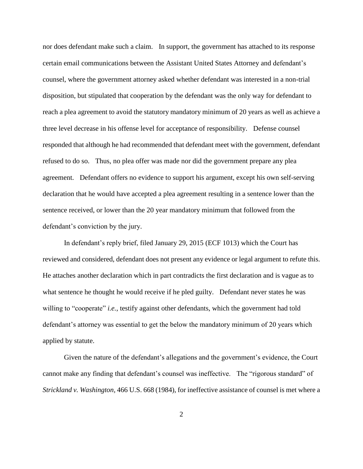nor does defendant make such a claim. In support, the government has attached to its response certain email communications between the Assistant United States Attorney and defendant's counsel, where the government attorney asked whether defendant was interested in a non-trial disposition, but stipulated that cooperation by the defendant was the only way for defendant to reach a plea agreement to avoid the statutory mandatory minimum of 20 years as well as achieve a three level decrease in his offense level for acceptance of responsibility. Defense counsel responded that although he had recommended that defendant meet with the government, defendant refused to do so. Thus, no plea offer was made nor did the government prepare any plea agreement. Defendant offers no evidence to support his argument, except his own self-serving declaration that he would have accepted a plea agreement resulting in a sentence lower than the sentence received, or lower than the 20 year mandatory minimum that followed from the defendant's conviction by the jury.

In defendant's reply brief, filed January 29, 2015 (ECF 1013) which the Court has reviewed and considered, defendant does not present any evidence or legal argument to refute this. He attaches another declaration which in part contradicts the first declaration and is vague as to what sentence he thought he would receive if he pled guilty. Defendant never states he was willing to "cooperate" *i.e.*, testify against other defendants, which the government had told defendant's attorney was essential to get the below the mandatory minimum of 20 years which applied by statute.

Given the nature of the defendant's allegations and the government's evidence, the Court cannot make any finding that defendant's counsel was ineffective. The "rigorous standard" of *Strickland v. Washington,* 466 U.S. 668 (1984), for ineffective assistance of counsel is met where a

2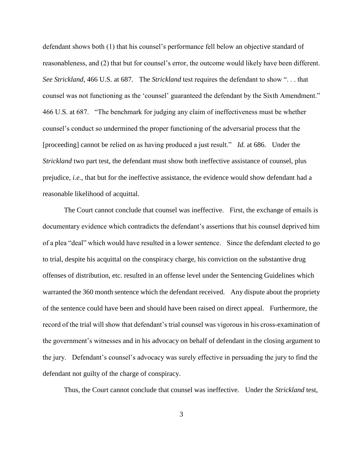defendant shows both (1) that his counsel's performance fell below an objective standard of reasonableness, and (2) that but for counsel's error, the outcome would likely have been different. *See Strickland*, 466 U.S. at 687. The *Strickland* test requires the defendant to show ". . . that counsel was not functioning as the 'counsel' guaranteed the defendant by the Sixth Amendment." 466 U.S. at 687. "The benchmark for judging any claim of ineffectiveness must be whether counsel's conduct so undermined the proper functioning of the adversarial process that the [proceeding] cannot be relied on as having produced a just result." *Id.* at 686. Under the *Strickland* two part test, the defendant must show both ineffective assistance of counsel, plus prejudice, *i.e.*, that but for the ineffective assistance, the evidence would show defendant had a reasonable likelihood of acquittal.

The Court cannot conclude that counsel was ineffective. First, the exchange of emails is documentary evidence which contradicts the defendant's assertions that his counsel deprived him of a plea "deal" which would have resulted in a lower sentence. Since the defendant elected to go to trial, despite his acquittal on the conspiracy charge, his conviction on the substantive drug offenses of distribution, etc. resulted in an offense level under the Sentencing Guidelines which warranted the 360 month sentence which the defendant received. Any dispute about the propriety of the sentence could have been and should have been raised on direct appeal. Furthermore, the record of the trial will show that defendant's trial counsel was vigorous in his cross-examination of the government's witnesses and in his advocacy on behalf of defendant in the closing argument to the jury. Defendant's counsel's advocacy was surely effective in persuading the jury to find the defendant not guilty of the charge of conspiracy.

Thus, the Court cannot conclude that counsel was ineffective. Under the *Strickland* test,